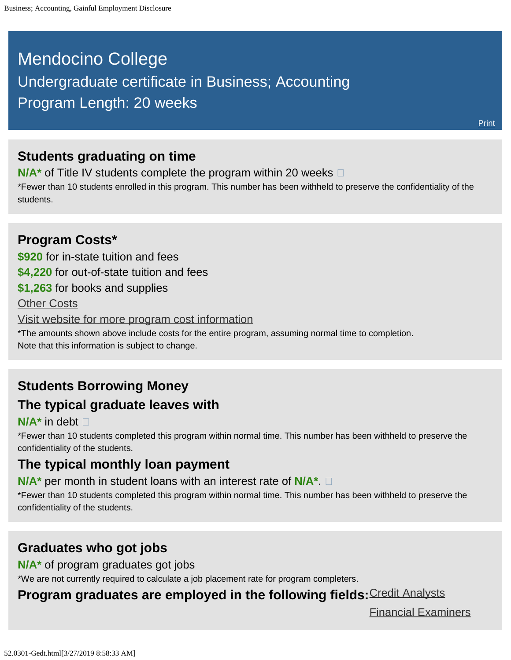# <span id="page-0-0"></span>Mendocino College Undergraduate certificate in Business; Accounting Program Length: 20 weeks

## **Students graduating on time**

**N/A<sup>\*</sup>** of Title IV students complete the program within 20 weeks  $\Box$ 

\*Fewer than 10 students enrolled in this program. This number has been withheld to preserve the confidentiality of the students.

### **Program Costs\* \$920** for in-state tuition and fees **\$4,220** for out-of-state tuition and fees **\$1,263** for books and supplies [Other Costs](#page-0-0) [Visit website for more program cost information](https://www.mendocino.edu/program/business-accounting-0) \*The amounts shown above include costs for the entire program, assuming normal time to completion. Note that this information is subject to change.

# **Students Borrowing Money The typical graduate leaves with**

#### **N/A\*** in debt

\*Fewer than 10 students completed this program within normal time. This number has been withheld to preserve the confidentiality of the students.

## **The typical monthly loan payment**

**N/A\*** per month in student loans with an interest rate of **N/A\***.

\*Fewer than 10 students completed this program within normal time. This number has been withheld to preserve the confidentiality of the students.

### **Graduates who got jobs**

**N/A\*** of program graduates got jobs

\*We are not currently required to calculate a job placement rate for program completers.

### **Program graduates are employed in the following fields:**[Credit Analysts](http://online.onetcenter.org/link/summary/13-2041.00)

[Financial Examiners](http://online.onetcenter.org/link/summary/13-2061.00)